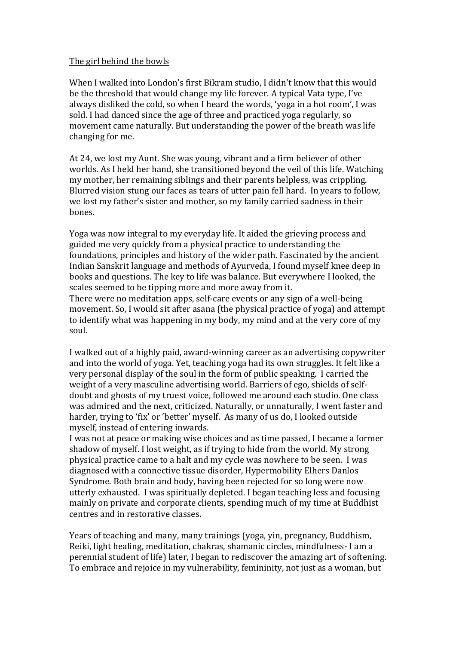## The girl behind the bowls

When I walked into London's first Bikram studio, I didn't know that this would be the threshold that would change my life forever. A typical Vata type, I've always disliked the cold, so when I heard the words, 'yoga in a hot room', I was sold. I had danced since the age of three and practiced yoga regularly, so movement came naturally. But understanding the power of the breath was life changing for me.

At 24, we lost my Aunt. She was young, vibrant and a firm believer of other worlds. As I held her hand, she transitioned beyond the veil of this life. Watching my mother, her remaining siblings and their parents helpless, was crippling. Blurred vision stung our faces as tears of utter pain fell hard. In years to follow, we lost my father's sister and mother, so my family carried sadness in their bones.

Yoga was now integral to my everyday life. It aided the grieving process and guided me very quickly from a physical practice to understanding the foundations, principles and history of the wider path. Fascinated by the ancient Indian Sanskrit language and methods of Ayurveda, I found myself knee deep in books and questions. The key to life was balance. But everywhere I looked, the scales seemed to be tipping more and more away from it. There were no meditation apps, self-care events or any sign of a well-being movement. So, I would sit after asana (the physical practice of voga) and attempt to identify what was happening in my body, my mind and at the very core of my soul. 

I walked out of a highly paid, award-winning career as an advertising copywriter and into the world of yoga. Yet, teaching yoga had its own struggles. It felt like a very personal display of the soul in the form of public speaking. I carried the weight of a very masculine advertising world. Barriers of ego, shields of selfdoubt and ghosts of my truest voice, followed me around each studio. One class was admired and the next, criticized. Naturally, or unnaturally, I went faster and harder, trying to 'fix' or 'better' myself. As many of us do, I looked outside myself, instead of entering inwards.

I was not at peace or making wise choices and as time passed, I became a former shadow of myself. I lost weight, as if trying to hide from the world. My strong physical practice came to a halt and my cycle was nowhere to be seen. I was diagnosed with a connective tissue disorder, Hypermobility Elhers Danlos Syndrome. Both brain and body, having been rejected for so long were now utterly exhausted. I was spiritually depleted. I began teaching less and focusing mainly on private and corporate clients, spending much of my time at Buddhist centres and in restorative classes.

Years of teaching and many, many trainings (yoga, yin, pregnancy, Buddhism, Reiki, light healing, meditation, chakras, shamanic circles, mindfulness- I am a perennial student of life) later, I began to rediscover the amazing art of softening. To embrace and rejoice in my vulnerability, femininity, not just as a woman, but